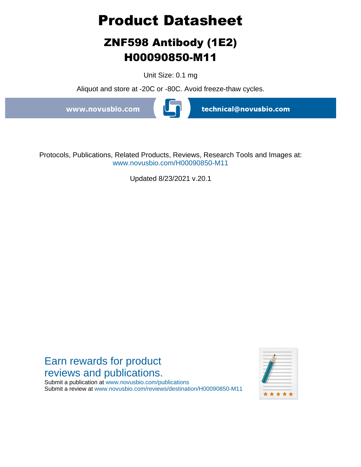# **Product Datasheet**

## **ZNF598 Antibody (1E2) H00090850-M11**

Unit Size: 0.1 mg

Aliquot and store at -20C or -80C. Avoid freeze-thaw cycles.

www.novusbio.com



technical@novusbio.com

Protocols, Publications, Related Products, Reviews, Research Tools and Images at: www.novusbio.com/H00090850-M11

Updated 8/23/2021 v.20.1

### Earn rewards for product reviews and publications.

Submit a publication at www.novusbio.com/publications Submit a review at www.novusbio.com/reviews/destination/H00090850-M11

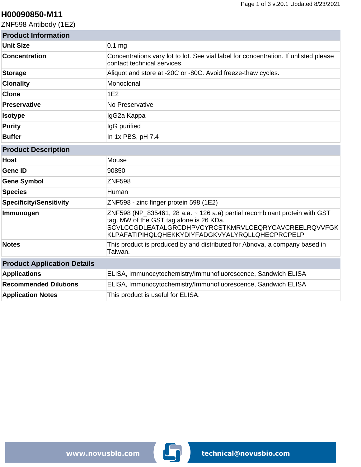#### **H00090850-M11**

ZNF598 Antibody (1E2)

| <b>Product Information</b>         |                                                                                                                                                                                                                                  |
|------------------------------------|----------------------------------------------------------------------------------------------------------------------------------------------------------------------------------------------------------------------------------|
| <b>Unit Size</b>                   | 0.1 <sub>mg</sub>                                                                                                                                                                                                                |
| <b>Concentration</b>               | Concentrations vary lot to lot. See vial label for concentration. If unlisted please<br>contact technical services.                                                                                                              |
| <b>Storage</b>                     | Aliquot and store at -20C or -80C. Avoid freeze-thaw cycles.                                                                                                                                                                     |
| <b>Clonality</b>                   | Monoclonal                                                                                                                                                                                                                       |
| <b>Clone</b>                       | 1E2                                                                                                                                                                                                                              |
| <b>Preservative</b>                | No Preservative                                                                                                                                                                                                                  |
| <b>Isotype</b>                     | IgG2a Kappa                                                                                                                                                                                                                      |
| <b>Purity</b>                      | IgG purified                                                                                                                                                                                                                     |
| <b>Buffer</b>                      | In 1x PBS, pH 7.4                                                                                                                                                                                                                |
| <b>Product Description</b>         |                                                                                                                                                                                                                                  |
| <b>Host</b>                        | Mouse                                                                                                                                                                                                                            |
| <b>Gene ID</b>                     | 90850                                                                                                                                                                                                                            |
| <b>Gene Symbol</b>                 | <b>ZNF598</b>                                                                                                                                                                                                                    |
| <b>Species</b>                     | Human                                                                                                                                                                                                                            |
| <b>Specificity/Sensitivity</b>     | ZNF598 - zinc finger protein 598 (1E2)                                                                                                                                                                                           |
| Immunogen                          | ZNF598 (NP_835461, 28 a.a. ~ 126 a.a) partial recombinant protein with GST<br>tag. MW of the GST tag alone is 26 KDa.<br>SCVLCCGDLEATALGRCDHPVCYRCSTKMRVLCEQRYCAVCREELRQVVFGK<br>KLPAFATIPIHQLQHEKKYDIYFADGKVYALYRQLLQHECPRCPELP |
| <b>Notes</b>                       | This product is produced by and distributed for Abnova, a company based in<br>Taiwan.                                                                                                                                            |
| <b>Product Application Details</b> |                                                                                                                                                                                                                                  |
| <b>Applications</b>                | ELISA, Immunocytochemistry/Immunofluorescence, Sandwich ELISA                                                                                                                                                                    |
| <b>Recommended Dilutions</b>       | ELISA, Immunocytochemistry/Immunofluorescence, Sandwich ELISA                                                                                                                                                                    |
| <b>Application Notes</b>           | This product is useful for ELISA.                                                                                                                                                                                                |

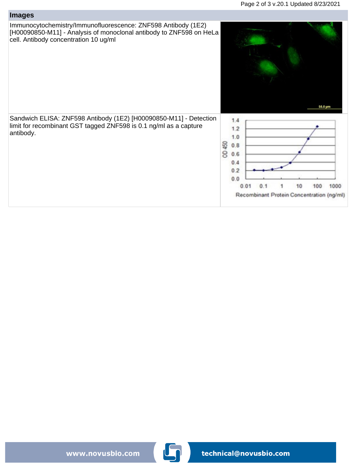#### **Images**

Immunocytochemistry/Immunofluorescence: ZNF598 Antibody (1E2) [H00090850-M11] - Analysis of monoclonal antibody to ZNF598 on HeLa cell. Antibody concentration 10 ug/ml



1

Recombinant Protein Concentration (ng/ml)

10

100

1000

 $0.0$ 

 $0.01$ 

 $0.1$ 

Sandwich ELISA: ZNF598 Antibody (1E2) [H00090850-M11] - Detection limit for recombinant GST tagged ZNF598 is 0.1 ng/ml as a capture antibody.

www.novusbio.com